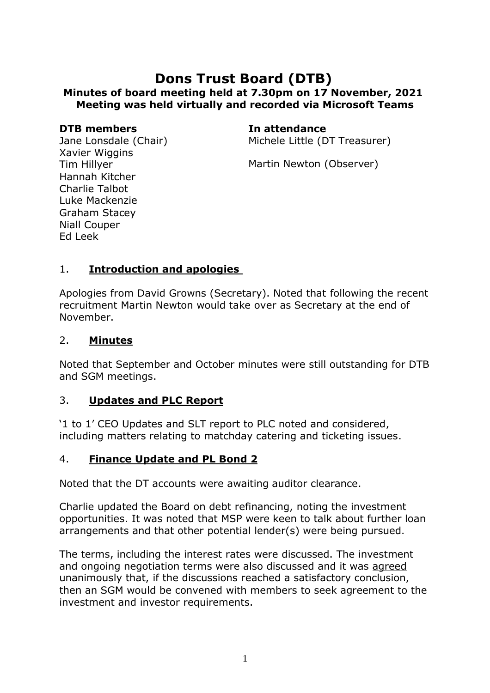# **Dons Trust Board (DTB) Minutes of board meeting held at 7.30pm on 17 November, 2021 Meeting was held virtually and recorded via Microsoft Teams**

#### **DTB members In attendance**

Jane Lonsdale (Chair) Xavier Wiggins Tim Hillyer Hannah Kitcher Charlie Talbot Luke Mackenzie Graham Stacey Niall Couper Ed Leek

Michele Little (DT Treasurer)

Martin Newton (Observer)

### 1. **Introduction and apologies**

Apologies from David Growns (Secretary). Noted that following the recent recruitment Martin Newton would take over as Secretary at the end of November.

#### 2. **Minutes**

Noted that September and October minutes were still outstanding for DTB and SGM meetings.

#### 3. **Updates and PLC Report**

'1 to 1' CEO Updates and SLT report to PLC noted and considered, including matters relating to matchday catering and ticketing issues.

#### 4. **Finance Update and PL Bond 2**

Noted that the DT accounts were awaiting auditor clearance.

Charlie updated the Board on debt refinancing, noting the investment opportunities. It was noted that MSP were keen to talk about further loan arrangements and that other potential lender(s) were being pursued.

The terms, including the interest rates were discussed. The investment and ongoing negotiation terms were also discussed and it was agreed unanimously that, if the discussions reached a satisfactory conclusion, then an SGM would be convened with members to seek agreement to the investment and investor requirements.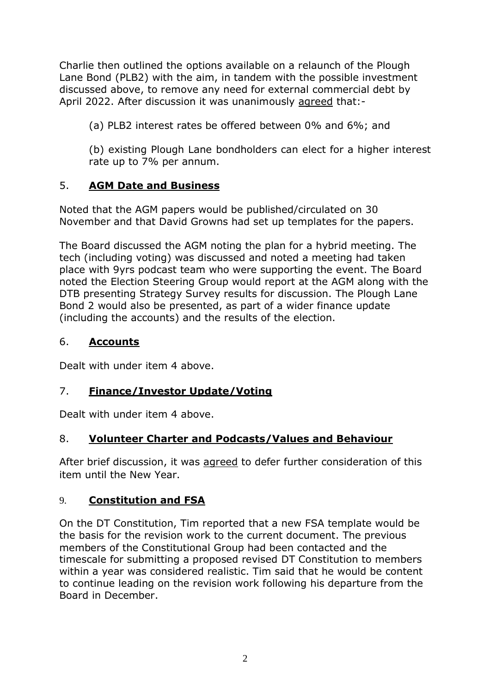Charlie then outlined the options available on a relaunch of the Plough Lane Bond (PLB2) with the aim, in tandem with the possible investment discussed above, to remove any need for external commercial debt by April 2022. After discussion it was unanimously agreed that:-

(a) PLB2 interest rates be offered between 0% and 6%; and

(b) existing Plough Lane bondholders can elect for a higher interest rate up to 7% per annum.

## 5. **AGM Date and Business**

Noted that the AGM papers would be published/circulated on 30 November and that David Growns had set up templates for the papers.

The Board discussed the AGM noting the plan for a hybrid meeting. The tech (including voting) was discussed and noted a meeting had taken place with 9yrs podcast team who were supporting the event. The Board noted the Election Steering Group would report at the AGM along with the DTB presenting Strategy Survey results for discussion. The Plough Lane Bond 2 would also be presented, as part of a wider finance update (including the accounts) and the results of the election.

## 6. **Accounts**

Dealt with under item 4 above.

# 7. **Finance/Investor Update/Voting**

Dealt with under item 4 above.

## 8. **Volunteer Charter and Podcasts/Values and Behaviour**

After brief discussion, it was agreed to defer further consideration of this item until the New Year.

## 9. **Constitution and FSA**

On the DT Constitution, Tim reported that a new FSA template would be the basis for the revision work to the current document. The previous members of the Constitutional Group had been contacted and the timescale for submitting a proposed revised DT Constitution to members within a year was considered realistic. Tim said that he would be content to continue leading on the revision work following his departure from the Board in December.